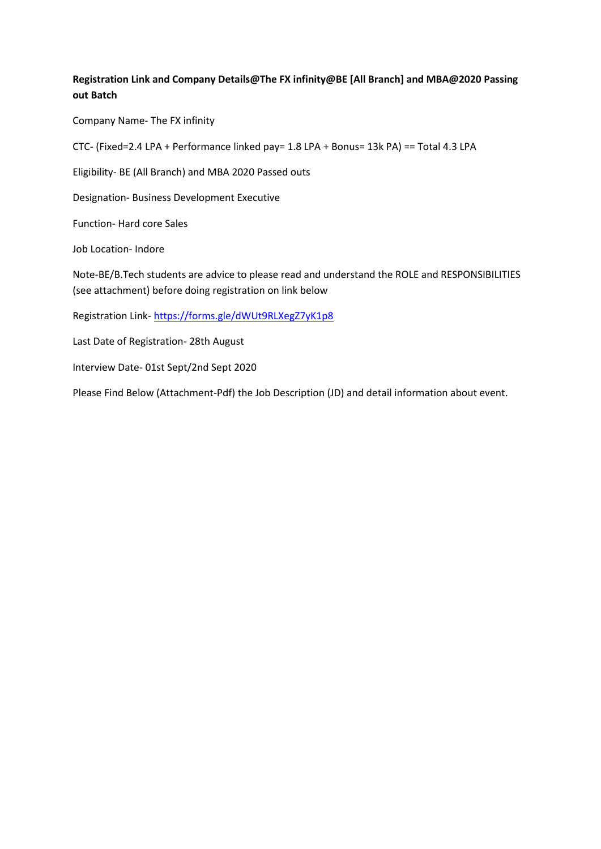#### **Registration Link and Company Details@The FX infinity@BE [All Branch] and MBA@2020 Passing out Batch**

Company Name- The FX infinity

CTC- (Fixed=2.4 LPA + Performance linked pay= 1.8 LPA + Bonus= 13k PA) == Total 4.3 LPA

Eligibility- BE (All Branch) and MBA 2020 Passed outs

Designation- Business Development Executive

Function- Hard core Sales

Job Location- Indore

Note-BE/B.Tech students are advice to please read and understand the ROLE and RESPONSIBILITIES (see attachment) before doing registration on link below

Registration Link- https://forms.gle/dWUt9RLXegZ7yK1p8

Last Date of Registration- 28th August

Interview Date- 01st Sept/2nd Sept 2020

Please Find Below (Attachment-Pdf) the Job Description (JD) and detail information about event.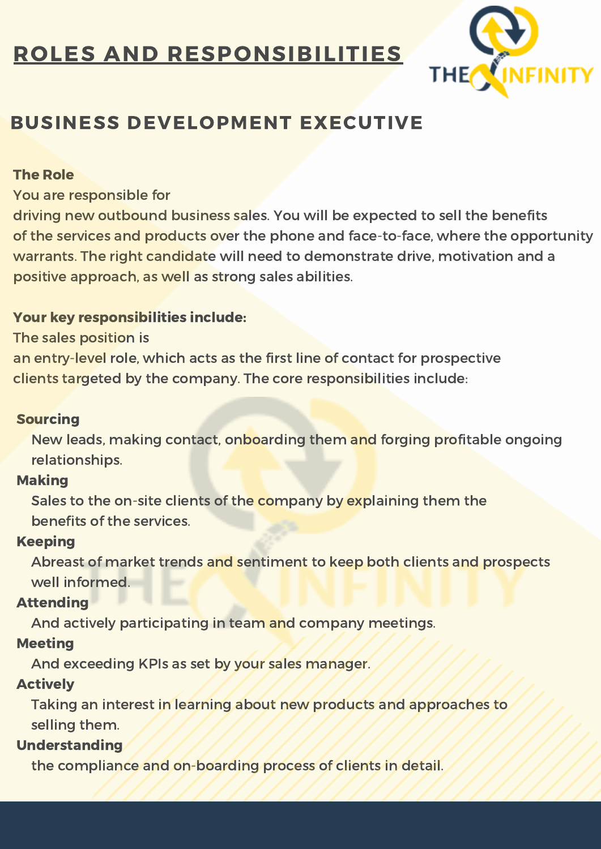## ROLES AND RESPONSIBILITIES



## BUSINESS DEVELOPMENT EXECUTIVE

### The Role

You are responsible for

driving new outbound business sales. You will be expected to sell the benefits of the services and products over the phone and face-to-face, where the opportunity warrants. The right candidate will need to demonstrate drive, motivation and a positive approach, as well as strong sales abilities.

### Your key responsibilities include:

The sales position is

an entry-level role, which acts as the first line of contact for prospective clients targeted by the company. The core responsibilities include:

#### Sourcing

New leads, making contact, onboarding them and forging profitable ongoing relationships.

### Making

Sales to the on-site clients of the company by explaining them the benefits of the services.

### Keeping

Abreast of market trends and sentiment to keep both clients and prospects well informed.

### **Attending**

And actively participating in team and company meetings.

### **Meeting**

And exceeding KPIs as set by your sales manager.

### Actively

Taking an interest in learning about new products and approaches to selling them.

### Understanding

the compliance and on-boarding process of clients in detail.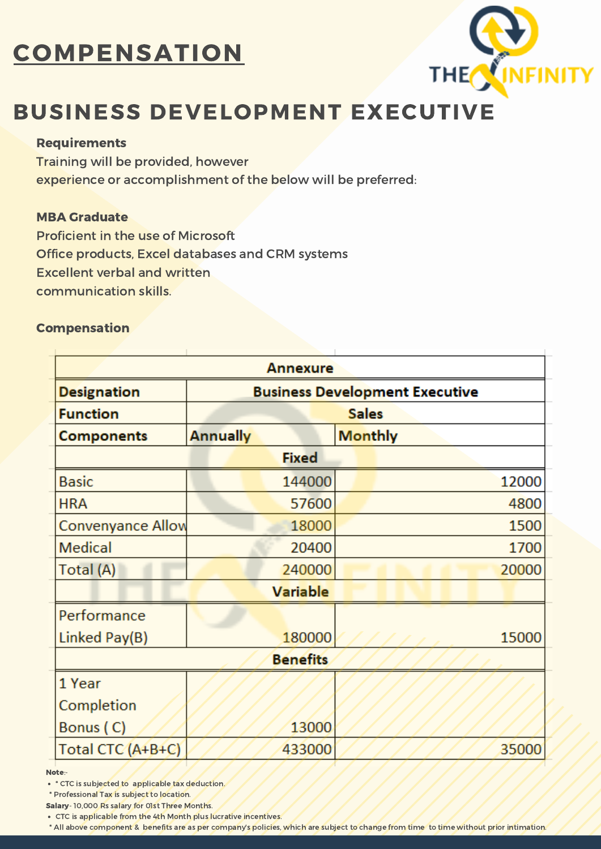# **COMPENSATION**



## BUSINESS DEVELOPMENT EXECUTIVE

#### Requirements

Training will be provided, however experience or accomplishment of the below will be preferred:

#### MBA Graduate

Proficient in the use of Microsoft Office products, Excel databases and CRM systems Excellent verbal and written communication skills.

#### Compensation

| <b>Annexure</b>          |                                       |        |                |
|--------------------------|---------------------------------------|--------|----------------|
| <b>Designation</b>       | <b>Business Development Executive</b> |        |                |
| <b>Function</b>          |                                       |        | <b>Sales</b>   |
| <b>Components</b>        | <b>Annually</b>                       |        | <b>Monthly</b> |
| <b>Fixed</b>             |                                       |        |                |
| <b>Basic</b>             |                                       | 144000 | 12000          |
| <b>HRA</b>               |                                       | 57600  | 4800           |
| <b>Convenyance Allow</b> |                                       | 18000  | 1500           |
| Medical                  |                                       | 20400  | 1700           |
| Total (A)                |                                       | 240000 | 20000          |
| <b>Variable</b>          |                                       |        |                |
| Performance              |                                       |        |                |
| Linked Pay(B)            |                                       | 180000 | 15000          |
| <b>Benefits</b>          |                                       |        |                |
| 1 Year                   |                                       |        |                |
| Completion               |                                       |        |                |
| Bonus (C)                |                                       | 13000  |                |
| Total CTC (A+B+C)        |                                       | 433000 | 35000          |

Note:-

• \* CTC is subjected to applicable tax deduction.

\* Professional Tax is subject to location.

Salary- 10,000 Rs salary for 01st Three Months.

CTC is applicable from the 4th Month plus lucrative incentives.

\* All above component & benefits are as per company's policies, which are subject to change from time to time without prior intimation.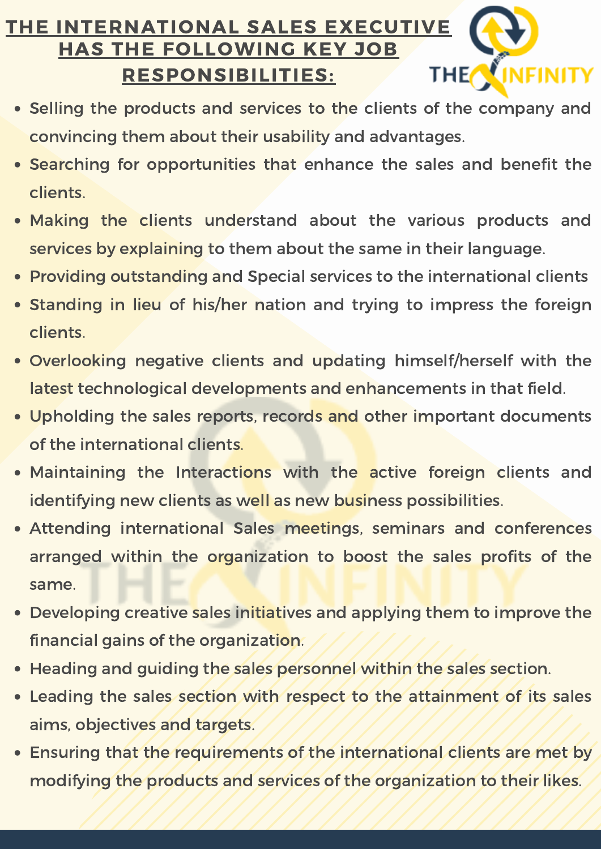#### THE INTERNATIONAL SALES EXECUTIVE HAS THE FOLLOWING KEY JOB INFINITY THE<sup></sup> RESPONSIBILITIES:

- Selling the products and services to the clients of the company and convincing them about their usability and advantages.
- Searching for opportunities that enhance the sales and benefit the clients.
- Making the clients understand about the various products and services by explaining to them about the same in their language.
- Providing outstanding and Special services to the international clients
- Standing in lieu of his/her nation and trying to impress the foreign clients.
- Overlooking negative clients and updating himself/herself with the latest technological developments and enhancements in that field.
- Upholding the sales reports, records and other important documents of the international clients.
- Maintaining the Interactions with the active foreign clients and identifying new clients as well as new business possibilities.
- Attending international Sales meetings, seminars and conferences arranged within the organization to boost the sales profits of the same.
- Developing creative sales initiatives and applying them to improve the financial gains of the organization.
- Heading and guiding the sales personnel within the sales section.
- Leading the sales section with respect to the attainment of its sales aims, objectives and targets.
- Ensuring that the requirements of the international clients are met by modifying the products and services of the organization to their likes.